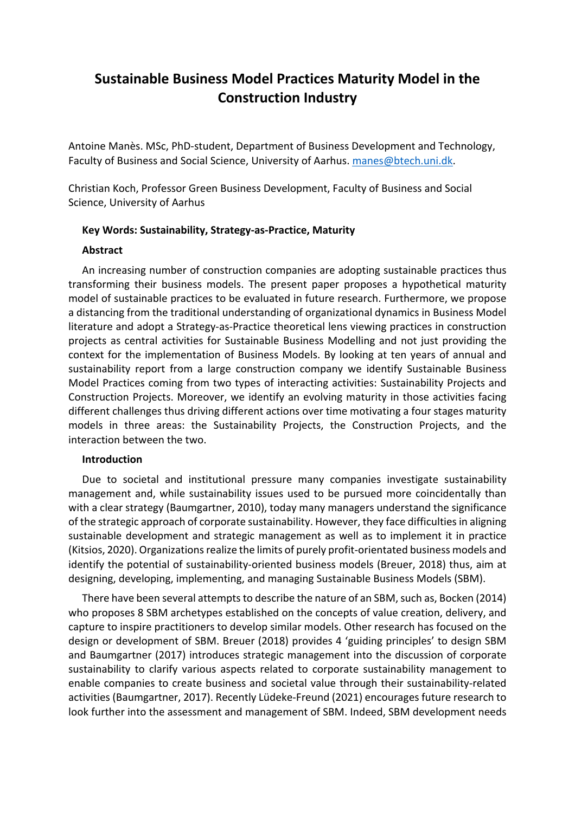# **Sustainable Business Model Practices Maturity Model in the Construction Industry**

Antoine Manès. MSc, PhD-student, Department of Business Development and Technology, Faculty of Business and Social Science, University of Aarhus. manes@btech.uni.dk.

Christian Koch, Professor Green Business Development, Faculty of Business and Social Science, University of Aarhus

# **Key Words: Sustainability, Strategy-as-Practice, Maturity**

## **Abstract**

An increasing number of construction companies are adopting sustainable practices thus transforming their business models. The present paper proposes a hypothetical maturity model of sustainable practices to be evaluated in future research. Furthermore, we propose a distancing from the traditional understanding of organizational dynamics in Business Model literature and adopt a Strategy-as-Practice theoretical lens viewing practices in construction projects as central activities for Sustainable Business Modelling and not just providing the context for the implementation of Business Models. By looking at ten years of annual and sustainability report from a large construction company we identify Sustainable Business Model Practices coming from two types of interacting activities: Sustainability Projects and Construction Projects. Moreover, we identify an evolving maturity in those activities facing different challenges thus driving different actions over time motivating a four stages maturity models in three areas: the Sustainability Projects, the Construction Projects, and the interaction between the two.

# **Introduction**

Due to societal and institutional pressure many companies investigate sustainability management and, while sustainability issues used to be pursued more coincidentally than with a clear strategy (Baumgartner, 2010), today many managers understand the significance of the strategic approach of corporate sustainability. However, they face difficulties in aligning sustainable development and strategic management as well as to implement it in practice (Kitsios, 2020). Organizations realize the limits of purely profit-orientated business models and identify the potential of sustainability-oriented business models (Breuer, 2018) thus, aim at designing, developing, implementing, and managing Sustainable Business Models (SBM).

There have been several attempts to describe the nature of an SBM, such as, Bocken (2014) who proposes 8 SBM archetypes established on the concepts of value creation, delivery, and capture to inspire practitioners to develop similar models. Other research has focused on the design or development of SBM. Breuer (2018) provides 4 'guiding principles' to design SBM and Baumgartner (2017) introduces strategic management into the discussion of corporate sustainability to clarify various aspects related to corporate sustainability management to enable companies to create business and societal value through their sustainability-related activities (Baumgartner, 2017). Recently Lüdeke-Freund (2021) encourages future research to look further into the assessment and management of SBM. Indeed, SBM development needs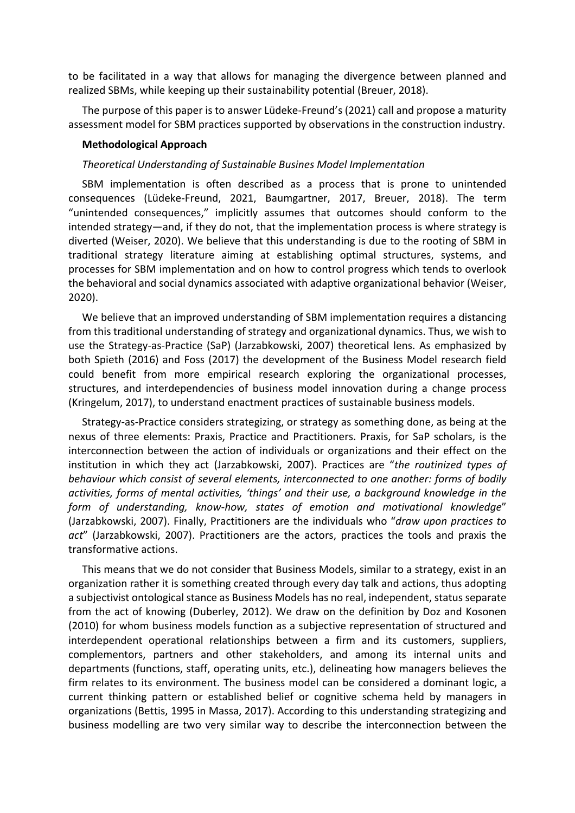to be facilitated in a way that allows for managing the divergence between planned and realized SBMs, while keeping up their sustainability potential (Breuer, 2018).

The purpose of this paper is to answer Lüdeke-Freund's (2021) call and propose a maturity assessment model for SBM practices supported by observations in the construction industry.

#### **Methodological Approach**

#### *Theoretical Understanding of Sustainable Busines Model Implementation*

SBM implementation is often described as a process that is prone to unintended consequences (Lüdeke-Freund, 2021, Baumgartner, 2017, Breuer, 2018). The term "unintended consequences," implicitly assumes that outcomes should conform to the intended strategy—and, if they do not, that the implementation process is where strategy is diverted (Weiser, 2020). We believe that this understanding is due to the rooting of SBM in traditional strategy literature aiming at establishing optimal structures, systems, and processes for SBM implementation and on how to control progress which tends to overlook the behavioral and social dynamics associated with adaptive organizational behavior (Weiser, 2020).

We believe that an improved understanding of SBM implementation requires a distancing from this traditional understanding of strategy and organizational dynamics. Thus, we wish to use the Strategy-as-Practice (SaP) (Jarzabkowski, 2007) theoretical lens. As emphasized by both Spieth (2016) and Foss (2017) the development of the Business Model research field could benefit from more empirical research exploring the organizational processes, structures, and interdependencies of business model innovation during a change process (Kringelum, 2017), to understand enactment practices of sustainable business models.

Strategy-as-Practice considers strategizing, or strategy as something done, as being at the nexus of three elements: Praxis, Practice and Practitioners. Praxis, for SaP scholars, is the interconnection between the action of individuals or organizations and their effect on the institution in which they act (Jarzabkowski, 2007). Practices are "*the routinized types of behaviour which consist of several elements, interconnected to one another: forms of bodily activities, forms of mental activities, 'things' and their use, a background knowledge in the form of understanding, know-how, states of emotion and motivational knowledge*" (Jarzabkowski, 2007). Finally, Practitioners are the individuals who "*draw upon practices to act*" (Jarzabkowski, 2007). Practitioners are the actors, practices the tools and praxis the transformative actions.

This means that we do not consider that Business Models, similar to a strategy, exist in an organization rather it is something created through every day talk and actions, thus adopting a subjectivist ontological stance as Business Models has no real, independent, status separate from the act of knowing (Duberley, 2012). We draw on the definition by Doz and Kosonen (2010) for whom business models function as a subjective representation of structured and interdependent operational relationships between a firm and its customers, suppliers, complementors, partners and other stakeholders, and among its internal units and departments (functions, staff, operating units, etc.), delineating how managers believes the firm relates to its environment. The business model can be considered a dominant logic, a current thinking pattern or established belief or cognitive schema held by managers in organizations (Bettis, 1995 in Massa, 2017). According to this understanding strategizing and business modelling are two very similar way to describe the interconnection between the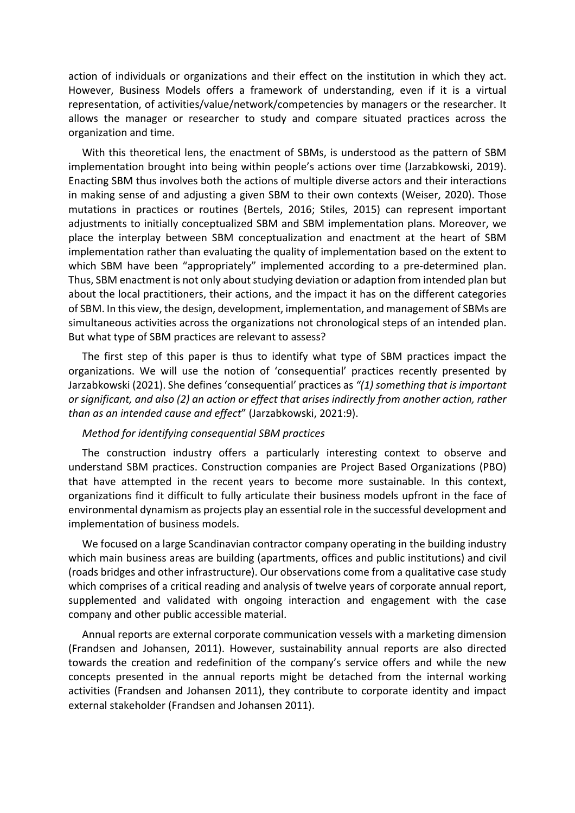action of individuals or organizations and their effect on the institution in which they act. However, Business Models offers a framework of understanding, even if it is a virtual representation, of activities/value/network/competencies by managers or the researcher. It allows the manager or researcher to study and compare situated practices across the organization and time.

With this theoretical lens, the enactment of SBMs, is understood as the pattern of SBM implementation brought into being within people's actions over time (Jarzabkowski, 2019). Enacting SBM thus involves both the actions of multiple diverse actors and their interactions in making sense of and adjusting a given SBM to their own contexts (Weiser, 2020). Those mutations in practices or routines (Bertels, 2016; Stiles, 2015) can represent important adjustments to initially conceptualized SBM and SBM implementation plans. Moreover, we place the interplay between SBM conceptualization and enactment at the heart of SBM implementation rather than evaluating the quality of implementation based on the extent to which SBM have been "appropriately" implemented according to a pre-determined plan. Thus, SBM enactment is not only about studying deviation or adaption from intended plan but about the local practitioners, their actions, and the impact it has on the different categories of SBM. In this view, the design, development, implementation, and management of SBMs are simultaneous activities across the organizations not chronological steps of an intended plan. But what type of SBM practices are relevant to assess?

The first step of this paper is thus to identify what type of SBM practices impact the organizations. We will use the notion of 'consequential' practices recently presented by Jarzabkowski (2021). She defines 'consequential' practices as *"(1) something that is important or significant, and also (2) an action or effect that arises indirectly from another action, rather than as an intended cause and effect*" (Jarzabkowski, 2021:9).

#### *Method for identifying consequential SBM practices*

The construction industry offers a particularly interesting context to observe and understand SBM practices. Construction companies are Project Based Organizations (PBO) that have attempted in the recent years to become more sustainable. In this context, organizations find it difficult to fully articulate their business models upfront in the face of environmental dynamism as projects play an essential role in the successful development and implementation of business models.

We focused on a large Scandinavian contractor company operating in the building industry which main business areas are building (apartments, offices and public institutions) and civil (roads bridges and other infrastructure). Our observations come from a qualitative case study which comprises of a critical reading and analysis of twelve years of corporate annual report, supplemented and validated with ongoing interaction and engagement with the case company and other public accessible material.

Annual reports are external corporate communication vessels with a marketing dimension (Frandsen and Johansen, 2011). However, sustainability annual reports are also directed towards the creation and redefinition of the company's service offers and while the new concepts presented in the annual reports might be detached from the internal working activities (Frandsen and Johansen 2011), they contribute to corporate identity and impact external stakeholder (Frandsen and Johansen 2011).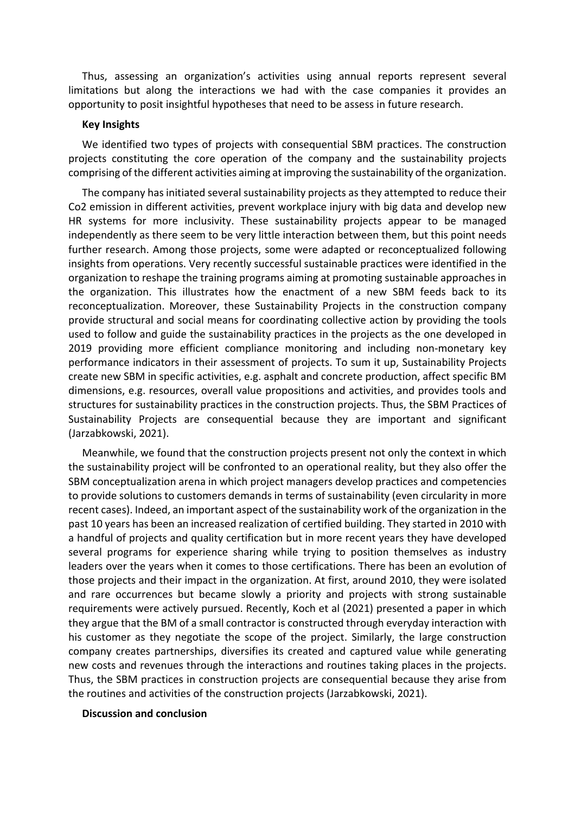Thus, assessing an organization's activities using annual reports represent several limitations but along the interactions we had with the case companies it provides an opportunity to posit insightful hypotheses that need to be assess in future research.

#### **Key Insights**

We identified two types of projects with consequential SBM practices. The construction projects constituting the core operation of the company and the sustainability projects comprising of the different activities aiming at improving the sustainability of the organization.

The company has initiated several sustainability projects as they attempted to reduce their Co2 emission in different activities, prevent workplace injury with big data and develop new HR systems for more inclusivity. These sustainability projects appear to be managed independently as there seem to be very little interaction between them, but this point needs further research. Among those projects, some were adapted or reconceptualized following insights from operations. Very recently successful sustainable practices were identified in the organization to reshape the training programs aiming at promoting sustainable approaches in the organization. This illustrates how the enactment of a new SBM feeds back to its reconceptualization. Moreover, these Sustainability Projects in the construction company provide structural and social means for coordinating collective action by providing the tools used to follow and guide the sustainability practices in the projects as the one developed in 2019 providing more efficient compliance monitoring and including non-monetary key performance indicators in their assessment of projects. To sum it up, Sustainability Projects create new SBM in specific activities, e.g. asphalt and concrete production, affect specific BM dimensions, e.g. resources, overall value propositions and activities, and provides tools and structures for sustainability practices in the construction projects. Thus, the SBM Practices of Sustainability Projects are consequential because they are important and significant (Jarzabkowski, 2021).

Meanwhile, we found that the construction projects present not only the context in which the sustainability project will be confronted to an operational reality, but they also offer the SBM conceptualization arena in which project managers develop practices and competencies to provide solutions to customers demands in terms of sustainability (even circularity in more recent cases). Indeed, an important aspect of the sustainability work of the organization in the past 10 years has been an increased realization of certified building. They started in 2010 with a handful of projects and quality certification but in more recent years they have developed several programs for experience sharing while trying to position themselves as industry leaders over the years when it comes to those certifications. There has been an evolution of those projects and their impact in the organization. At first, around 2010, they were isolated and rare occurrences but became slowly a priority and projects with strong sustainable requirements were actively pursued. Recently, Koch et al (2021) presented a paper in which they argue that the BM of a small contractor is constructed through everyday interaction with his customer as they negotiate the scope of the project. Similarly, the large construction company creates partnerships, diversifies its created and captured value while generating new costs and revenues through the interactions and routines taking places in the projects. Thus, the SBM practices in construction projects are consequential because they arise from the routines and activities of the construction projects (Jarzabkowski, 2021).

#### **Discussion and conclusion**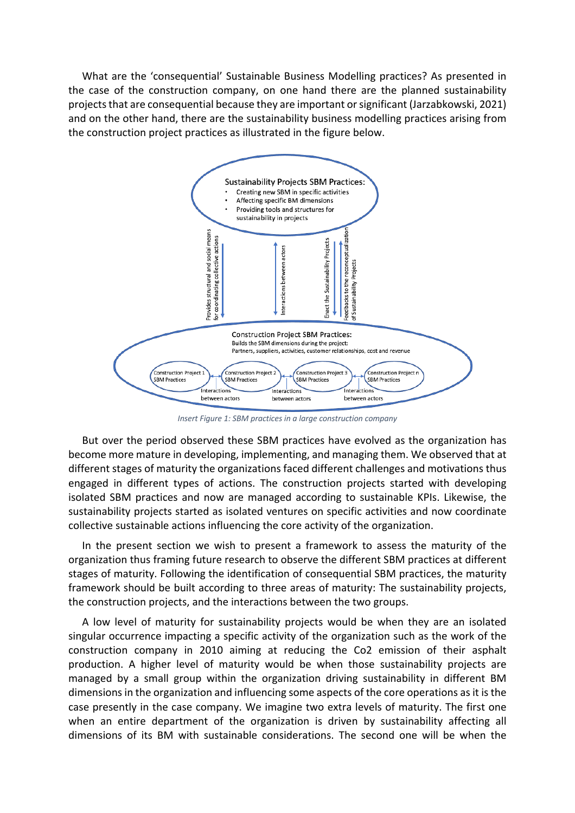What are the 'consequential' Sustainable Business Modelling practices? As presented in the case of the construction company, on one hand there are the planned sustainability projects that are consequential because they are important or significant (Jarzabkowski, 2021) and on the other hand, there are the sustainability business modelling practices arising from the construction project practices as illustrated in the figure below.



*Insert Figure 1: SBM practices in a large construction company*

But over the period observed these SBM practices have evolved as the organization has become more mature in developing, implementing, and managing them. We observed that at different stages of maturity the organizations faced different challenges and motivations thus engaged in different types of actions. The construction projects started with developing isolated SBM practices and now are managed according to sustainable KPIs. Likewise, the sustainability projects started as isolated ventures on specific activities and now coordinate collective sustainable actions influencing the core activity of the organization.

In the present section we wish to present a framework to assess the maturity of the organization thus framing future research to observe the different SBM practices at different stages of maturity. Following the identification of consequential SBM practices, the maturity framework should be built according to three areas of maturity: The sustainability projects, the construction projects, and the interactions between the two groups.

A low level of maturity for sustainability projects would be when they are an isolated singular occurrence impacting a specific activity of the organization such as the work of the construction company in 2010 aiming at reducing the Co2 emission of their asphalt production. A higher level of maturity would be when those sustainability projects are managed by a small group within the organization driving sustainability in different BM dimensions in the organization and influencing some aspects of the core operations as it is the case presently in the case company. We imagine two extra levels of maturity. The first one when an entire department of the organization is driven by sustainability affecting all dimensions of its BM with sustainable considerations. The second one will be when the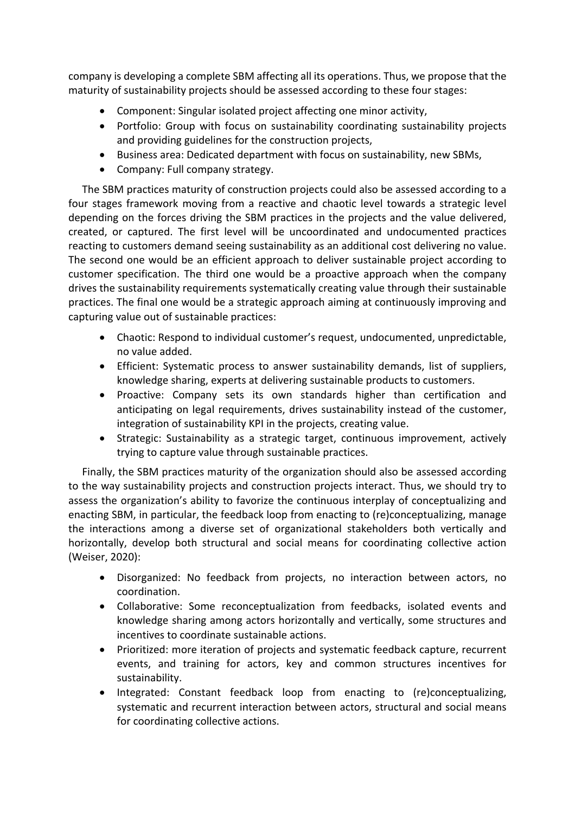company is developing a complete SBM affecting all its operations. Thus, we propose that the maturity of sustainability projects should be assessed according to these four stages:

- Component: Singular isolated project affecting one minor activity,
- Portfolio: Group with focus on sustainability coordinating sustainability projects and providing guidelines for the construction projects,
- Business area: Dedicated department with focus on sustainability, new SBMs,
- Company: Full company strategy.

The SBM practices maturity of construction projects could also be assessed according to a four stages framework moving from a reactive and chaotic level towards a strategic level depending on the forces driving the SBM practices in the projects and the value delivered, created, or captured. The first level will be uncoordinated and undocumented practices reacting to customers demand seeing sustainability as an additional cost delivering no value. The second one would be an efficient approach to deliver sustainable project according to customer specification. The third one would be a proactive approach when the company drives the sustainability requirements systematically creating value through their sustainable practices. The final one would be a strategic approach aiming at continuously improving and capturing value out of sustainable practices:

- Chaotic: Respond to individual customer's request, undocumented, unpredictable, no value added.
- Efficient: Systematic process to answer sustainability demands, list of suppliers, knowledge sharing, experts at delivering sustainable products to customers.
- Proactive: Company sets its own standards higher than certification and anticipating on legal requirements, drives sustainability instead of the customer, integration of sustainability KPI in the projects, creating value.
- Strategic: Sustainability as a strategic target, continuous improvement, actively trying to capture value through sustainable practices.

Finally, the SBM practices maturity of the organization should also be assessed according to the way sustainability projects and construction projects interact. Thus, we should try to assess the organization's ability to favorize the continuous interplay of conceptualizing and enacting SBM, in particular, the feedback loop from enacting to (re)conceptualizing, manage the interactions among a diverse set of organizational stakeholders both vertically and horizontally, develop both structural and social means for coordinating collective action (Weiser, 2020):

- Disorganized: No feedback from projects, no interaction between actors, no coordination.
- Collaborative: Some reconceptualization from feedbacks, isolated events and knowledge sharing among actors horizontally and vertically, some structures and incentives to coordinate sustainable actions.
- Prioritized: more iteration of projects and systematic feedback capture, recurrent events, and training for actors, key and common structures incentives for sustainability.
- Integrated: Constant feedback loop from enacting to (re)conceptualizing, systematic and recurrent interaction between actors, structural and social means for coordinating collective actions.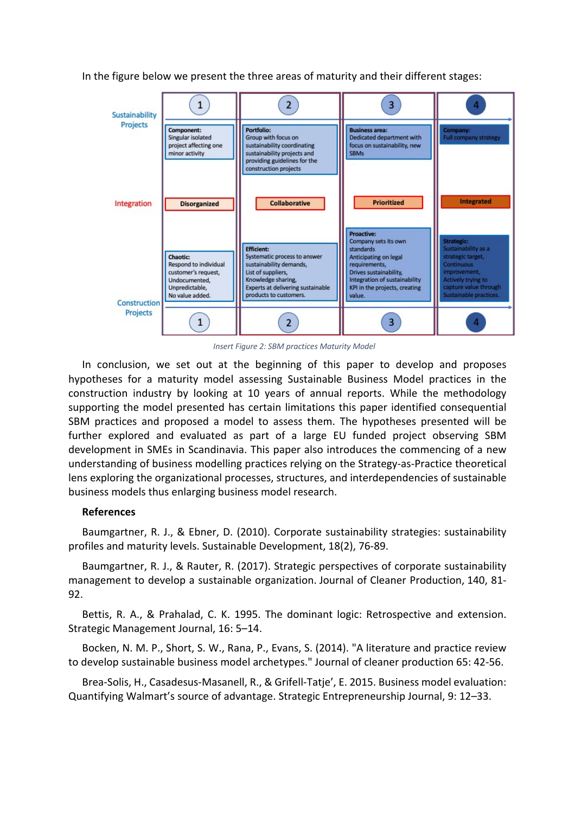In the figure below we present the three areas of maturity and their different stages:



*Insert Figure 2: SBM practices Maturity Model*

In conclusion, we set out at the beginning of this paper to develop and proposes hypotheses for a maturity model assessing Sustainable Business Model practices in the construction industry by looking at 10 years of annual reports. While the methodology supporting the model presented has certain limitations this paper identified consequential SBM practices and proposed a model to assess them. The hypotheses presented will be further explored and evaluated as part of a large EU funded project observing SBM development in SMEs in Scandinavia. This paper also introduces the commencing of a new understanding of business modelling practices relying on the Strategy-as-Practice theoretical lens exploring the organizational processes, structures, and interdependencies of sustainable business models thus enlarging business model research.

## **References**

Baumgartner, R. J., & Ebner, D. (2010). Corporate sustainability strategies: sustainability profiles and maturity levels. Sustainable Development, 18(2), 76-89.

Baumgartner, R. J., & Rauter, R. (2017). Strategic perspectives of corporate sustainability management to develop a sustainable organization. Journal of Cleaner Production, 140, 81- 92.

Bettis, R. A., & Prahalad, C. K. 1995. The dominant logic: Retrospective and extension. Strategic Management Journal, 16: 5–14.

Bocken, N. M. P., Short, S. W., Rana, P., Evans, S. (2014). "A literature and practice review to develop sustainable business model archetypes." Journal of cleaner production 65: 42-56.

Brea-Solis, H., Casadesus-Masanell, R., & Grifell-Tatje', E. 2015. Business model evaluation: Quantifying Walmart's source of advantage. Strategic Entrepreneurship Journal, 9: 12–33.